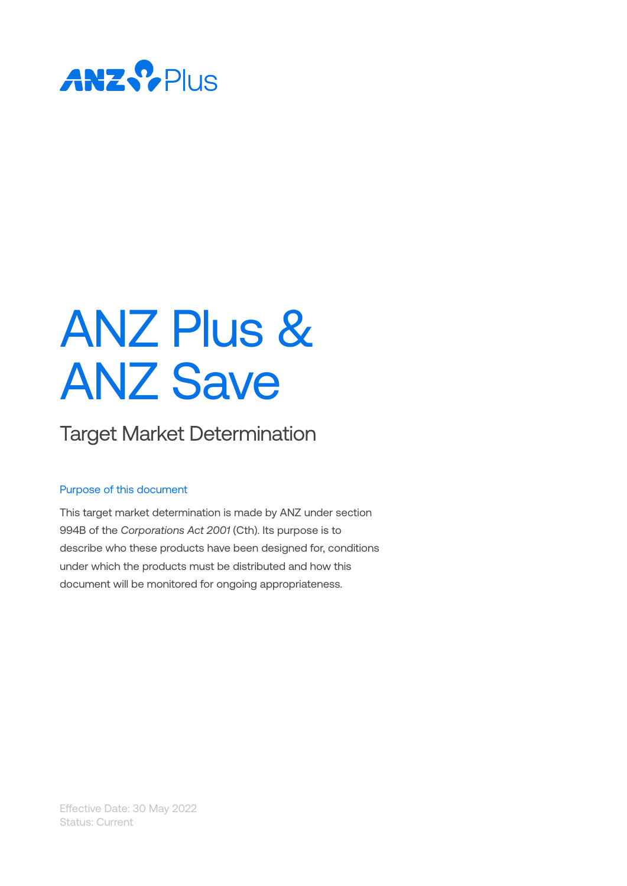

# ANZ Plus & ANZ Save

## Target Market Determination

#### Purpose of this document

This target market determination is made by ANZ under section 994B of the *Corporations Act 2001* (Cth). Its purpose is to describe who these products have been designed for, conditions under which the products must be distributed and how this document will be monitored for ongoing appropriateness.

Effective Date: 30 May 2022 Status: Current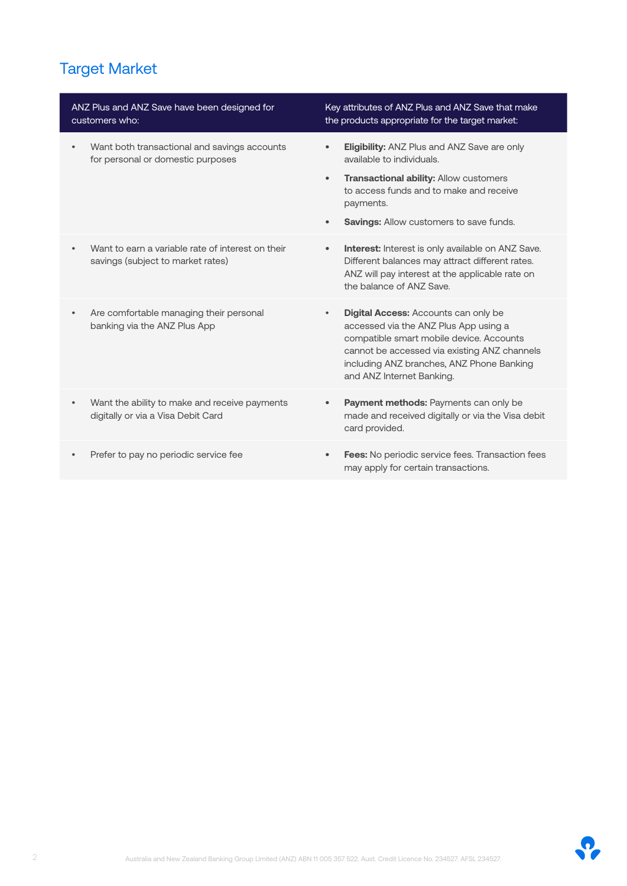## Target Market

| ANZ Plus and ANZ Save have been designed for<br>customers who:                         | Key attributes of ANZ Plus and ANZ Save that make<br>the products appropriate for the target market:                                                                                                                                                                    |  |
|----------------------------------------------------------------------------------------|-------------------------------------------------------------------------------------------------------------------------------------------------------------------------------------------------------------------------------------------------------------------------|--|
| Want both transactional and savings accounts<br>for personal or domestic purposes      | <b>Eligibility:</b> ANZ Plus and ANZ Save are only<br>$\bullet$<br>available to individuals.                                                                                                                                                                            |  |
|                                                                                        | <b>Transactional ability: Allow customers</b><br>$\bullet$<br>to access funds and to make and receive<br>payments.                                                                                                                                                      |  |
|                                                                                        | <b>Savings:</b> Allow customers to save funds.<br>$\bullet$                                                                                                                                                                                                             |  |
| Want to earn a variable rate of interest on their<br>savings (subject to market rates) | <b>Interest:</b> Interest is only available on ANZ Save.<br>$\bullet$<br>Different balances may attract different rates.<br>ANZ will pay interest at the applicable rate on<br>the balance of ANZ Save.                                                                 |  |
| Are comfortable managing their personal<br>$\bullet$<br>banking via the ANZ Plus App   | <b>Digital Access: Accounts can only be</b><br>$\bullet$<br>accessed via the ANZ Plus App using a<br>compatible smart mobile device. Accounts<br>cannot be accessed via existing ANZ channels<br>including ANZ branches, ANZ Phone Banking<br>and ANZ Internet Banking. |  |
| Want the ability to make and receive payments<br>digitally or via a Visa Debit Card    | Payment methods: Payments can only be<br>$\bullet$<br>made and received digitally or via the Visa debit<br>card provided.                                                                                                                                               |  |
| Prefer to pay no periodic service fee                                                  | <b>Fees:</b> No periodic service fees. Transaction fees<br>may apply for certain transactions.                                                                                                                                                                          |  |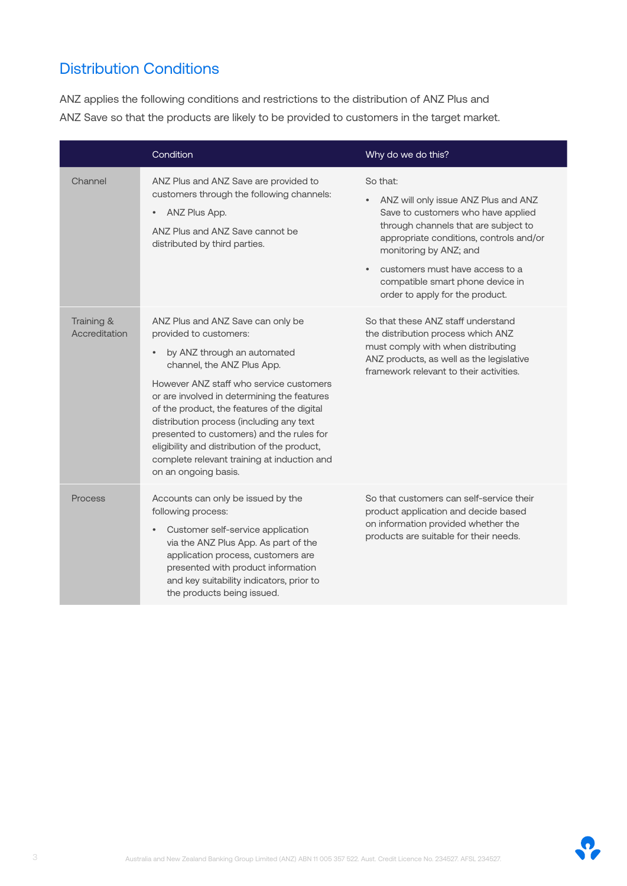## Distribution Conditions

ANZ applies the following conditions and restrictions to the distribution of ANZ Plus and ANZ Save so that the products are likely to be provided to customers in the target market.

|                             | Condition                                                                                                                                                                                                                                                                                                                                                                                                                                                                         | Why do we do this?                                                                                                                                                                                                                                                                                                         |
|-----------------------------|-----------------------------------------------------------------------------------------------------------------------------------------------------------------------------------------------------------------------------------------------------------------------------------------------------------------------------------------------------------------------------------------------------------------------------------------------------------------------------------|----------------------------------------------------------------------------------------------------------------------------------------------------------------------------------------------------------------------------------------------------------------------------------------------------------------------------|
| Channel                     | ANZ Plus and ANZ Save are provided to<br>customers through the following channels:<br>ANZ Plus App.<br>ANZ Plus and ANZ Save cannot be<br>distributed by third parties.                                                                                                                                                                                                                                                                                                           | So that:<br>ANZ will only issue ANZ Plus and ANZ<br>Save to customers who have applied<br>through channels that are subject to<br>appropriate conditions, controls and/or<br>monitoring by ANZ; and<br>customers must have access to a<br>$\bullet$<br>compatible smart phone device in<br>order to apply for the product. |
| Training &<br>Accreditation | ANZ Plus and ANZ Save can only be<br>provided to customers:<br>by ANZ through an automated<br>channel, the ANZ Plus App.<br>However ANZ staff who service customers<br>or are involved in determining the features<br>of the product, the features of the digital<br>distribution process (including any text<br>presented to customers) and the rules for<br>eligibility and distribution of the product,<br>complete relevant training at induction and<br>on an ongoing basis. | So that these ANZ staff understand<br>the distribution process which ANZ<br>must comply with when distributing<br>ANZ products, as well as the legislative<br>framework relevant to their activities.                                                                                                                      |
| Process                     | Accounts can only be issued by the<br>following process:<br>Customer self-service application<br>via the ANZ Plus App. As part of the<br>application process, customers are<br>presented with product information<br>and key suitability indicators, prior to<br>the products being issued.                                                                                                                                                                                       | So that customers can self-service their<br>product application and decide based<br>on information provided whether the<br>products are suitable for their needs.                                                                                                                                                          |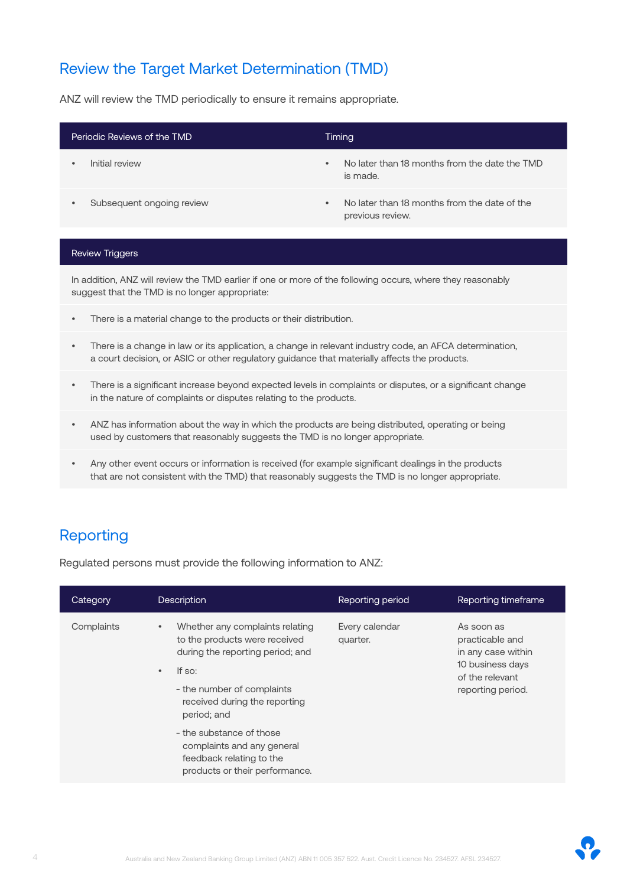### Review the Target Market Determination (TMD)

ANZ will review the TMD periodically to ensure it remains appropriate.

| Periodic Reviews of the TMD |                           | Timing    |                                                                  |
|-----------------------------|---------------------------|-----------|------------------------------------------------------------------|
|                             | Initial review            | $\bullet$ | No later than 18 months from the date the TMD<br>is made.        |
|                             | Subsequent ongoing review | $\bullet$ | No later than 18 months from the date of the<br>previous review. |

#### Review Triggers

In addition, ANZ will review the TMD earlier if one or more of the following occurs, where they reasonably suggest that the TMD is no longer appropriate:

- There is a material change to the products or their distribution.
- There is a change in law or its application, a change in relevant industry code, an AFCA determination, a court decision, or ASIC or other regulatory guidance that materially affects the products.
- There is a significant increase beyond expected levels in complaints or disputes, or a significant change in the nature of complaints or disputes relating to the products.
- ANZ has information about the way in which the products are being distributed, operating or being used by customers that reasonably suggests the TMD is no longer appropriate.
- Any other event occurs or information is received (for example significant dealings in the products that are not consistent with the TMD) that reasonably suggests the TMD is no longer appropriate.

#### Reporting

Regulated persons must provide the following information to ANZ:

| Category   | <b>Description</b>                                                                                                                                                                                                                                                                                                                             | Reporting period           | Reporting timeframe                                                                                             |
|------------|------------------------------------------------------------------------------------------------------------------------------------------------------------------------------------------------------------------------------------------------------------------------------------------------------------------------------------------------|----------------------------|-----------------------------------------------------------------------------------------------------------------|
| Complaints | Whether any complaints relating<br>$\bullet$<br>to the products were received<br>during the reporting period; and<br>If so:<br>$\bullet$<br>- the number of complaints<br>received during the reporting<br>period; and<br>- the substance of those<br>complaints and any general<br>feedback relating to the<br>products or their performance. | Every calendar<br>quarter. | As soon as<br>practicable and<br>in any case within<br>10 business days<br>of the relevant<br>reporting period. |